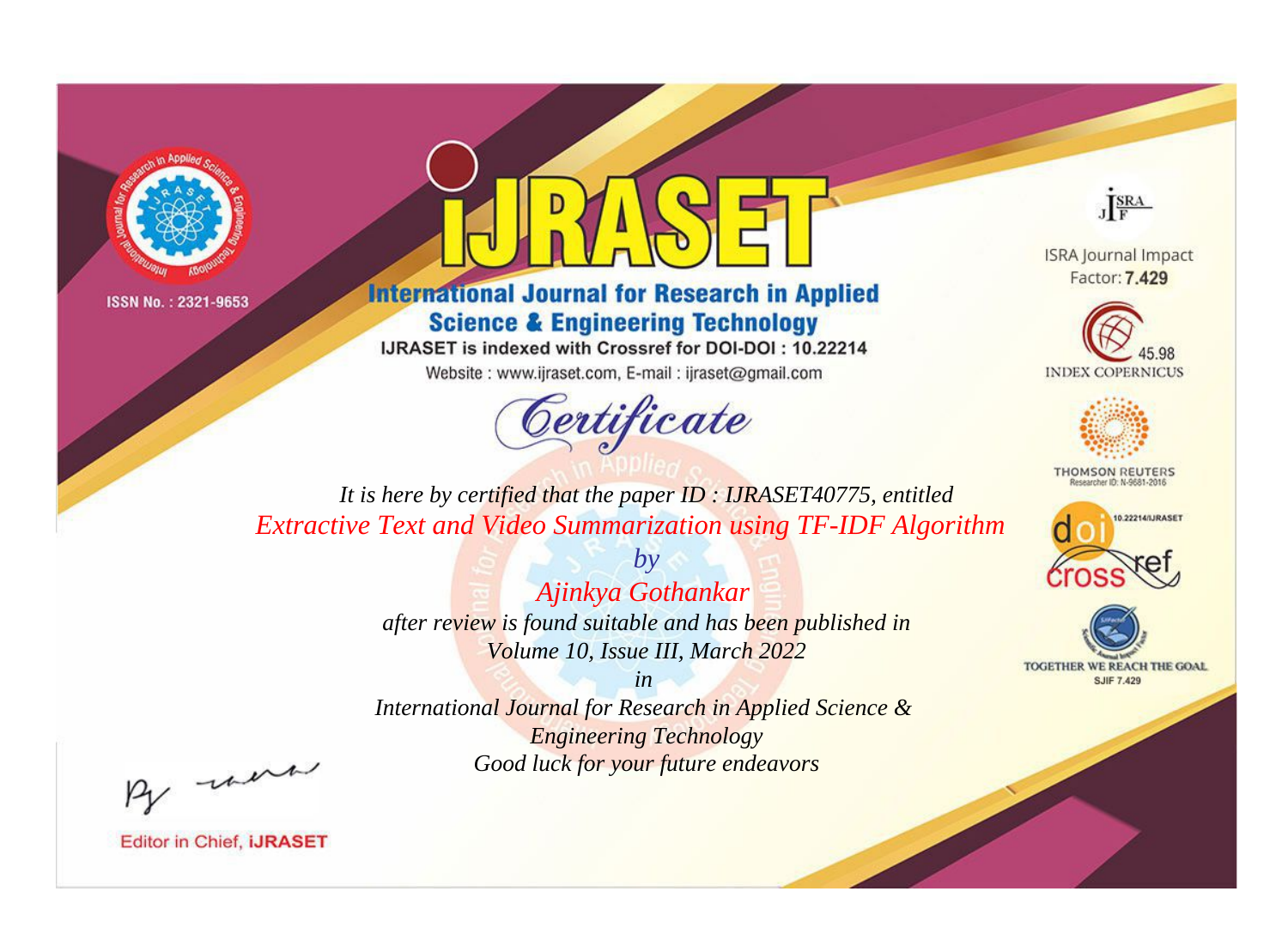



**International Journal for Research in Applied Science & Engineering Technology** 

IJRASET is indexed with Crossref for DOI-DOI: 10.22214

Website: www.ijraset.com, E-mail: ijraset@gmail.com



JERA

**ISRA Journal Impact** Factor: 7.429





**THOMSON REUTERS** 



TOGETHER WE REACH THE GOAL **SJIF 7.429** 

*It is here by certified that the paper ID : IJRASET40775, entitled Extractive Text and Video Summarization using TF-IDF Algorithm*

> *by Ajinkya Gothankar after review is found suitable and has been published in Volume 10, Issue III, March 2022*

> > *in*

*International Journal for Research in Applied Science & Engineering Technology Good luck for your future endeavors*

By morn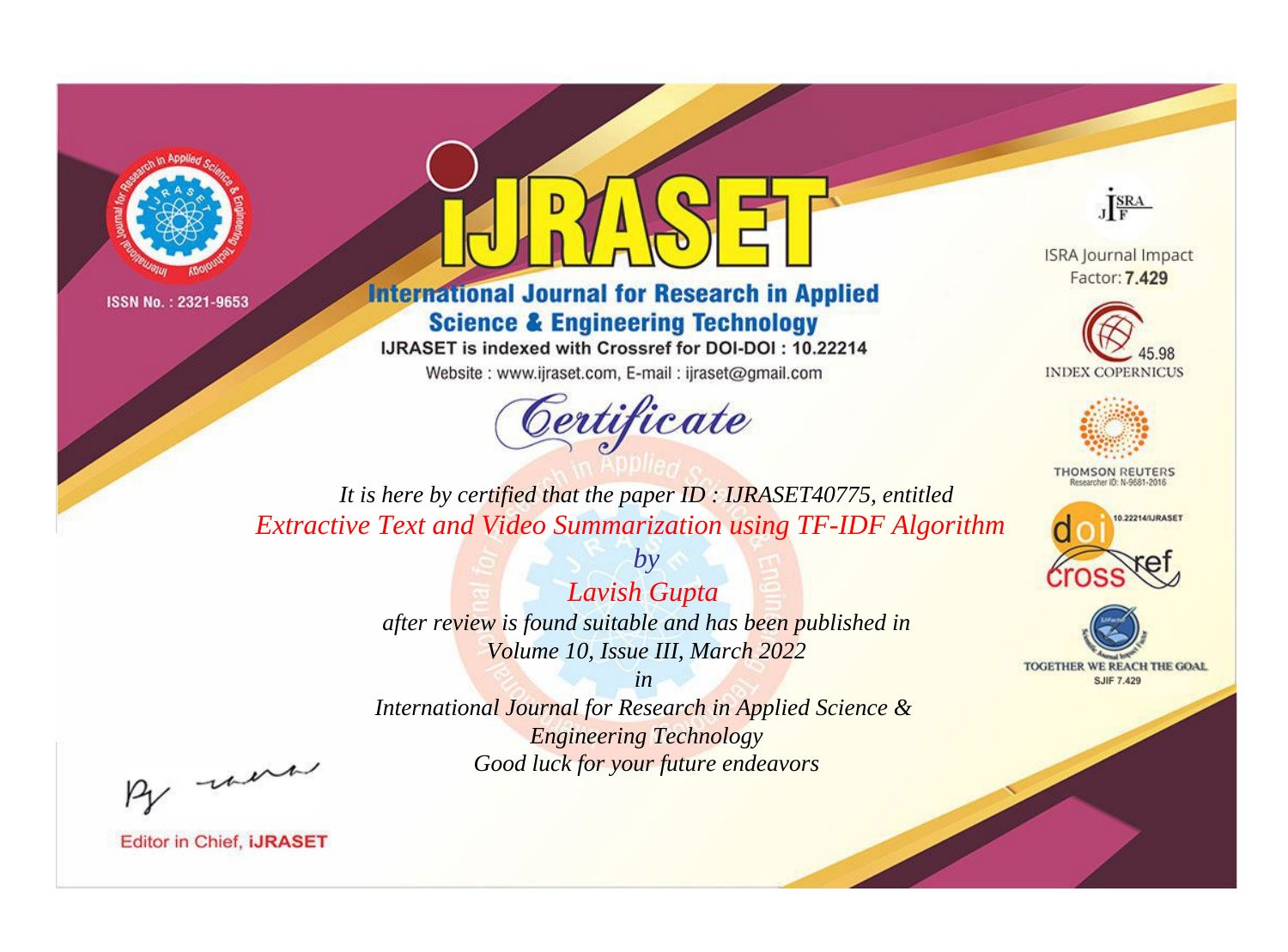



**International Journal for Research in Applied Science & Engineering Technology** 

IJRASET is indexed with Crossref for DOI-DOI: 10.22214

Website: www.ijraset.com, E-mail: ijraset@gmail.com



JERA

**ISRA Journal Impact** Factor: 7.429





**THOMSON REUTERS** 



TOGETHER WE REACH THE GOAL **SJIF 7.429** 

*It is here by certified that the paper ID : IJRASET40775, entitled Extractive Text and Video Summarization using TF-IDF Algorithm*

> *Lavish Gupta after review is found suitable and has been published in Volume 10, Issue III, March 2022*

*by*

*in* 

*International Journal for Research in Applied Science & Engineering Technology Good luck for your future endeavors*

By morn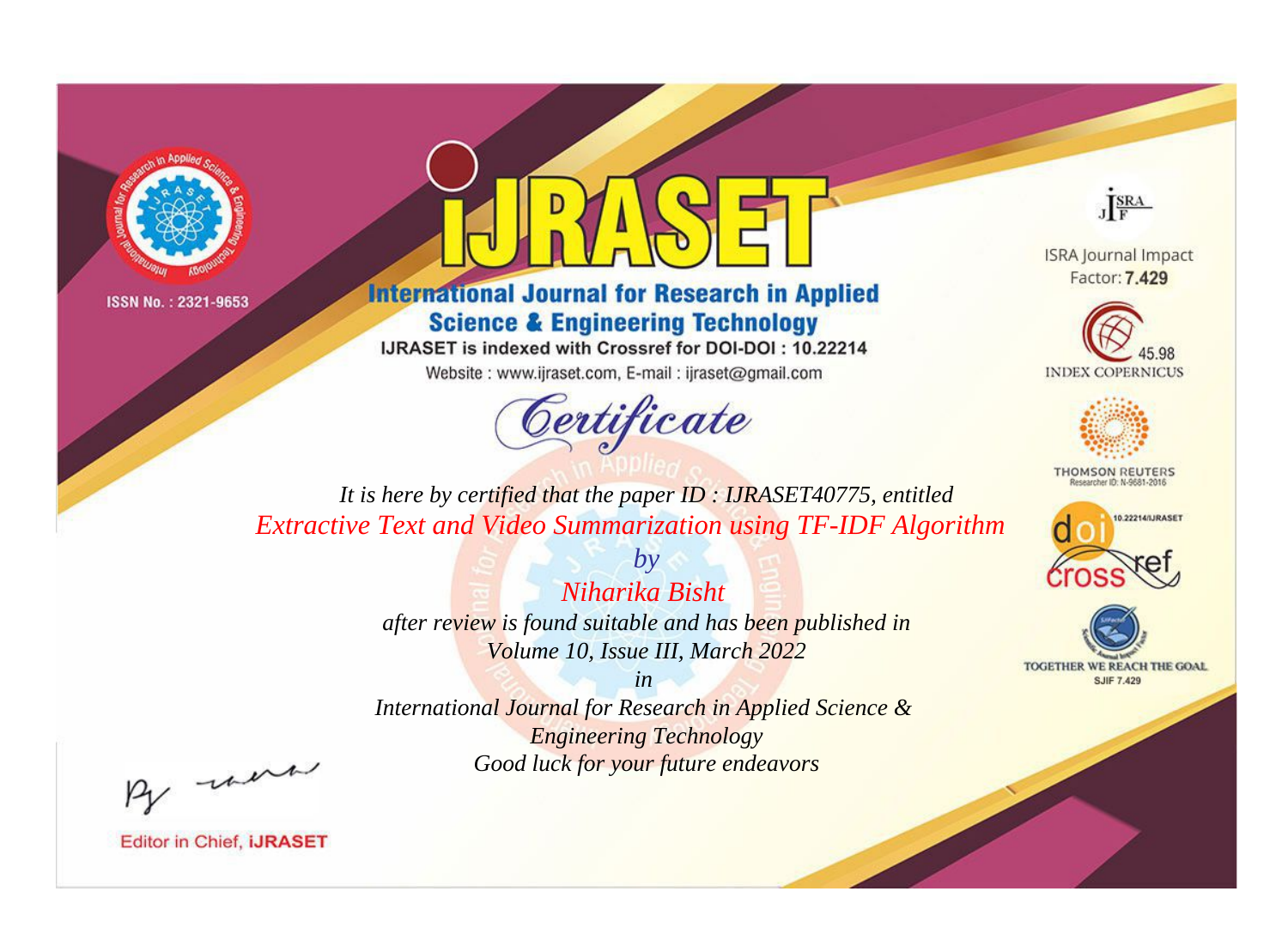



**International Journal for Research in Applied Science & Engineering Technology** 

IJRASET is indexed with Crossref for DOI-DOI: 10.22214

Website: www.ijraset.com, E-mail: ijraset@gmail.com



JERA

**ISRA Journal Impact** Factor: 7.429





**THOMSON REUTERS** 



TOGETHER WE REACH THE GOAL **SJIF 7.429** 

*It is here by certified that the paper ID : IJRASET40775, entitled Extractive Text and Video Summarization using TF-IDF Algorithm*

> *Niharika Bisht after review is found suitable and has been published in Volume 10, Issue III, March 2022*

*by*

*in* 

*International Journal for Research in Applied Science & Engineering Technology Good luck for your future endeavors*

By morn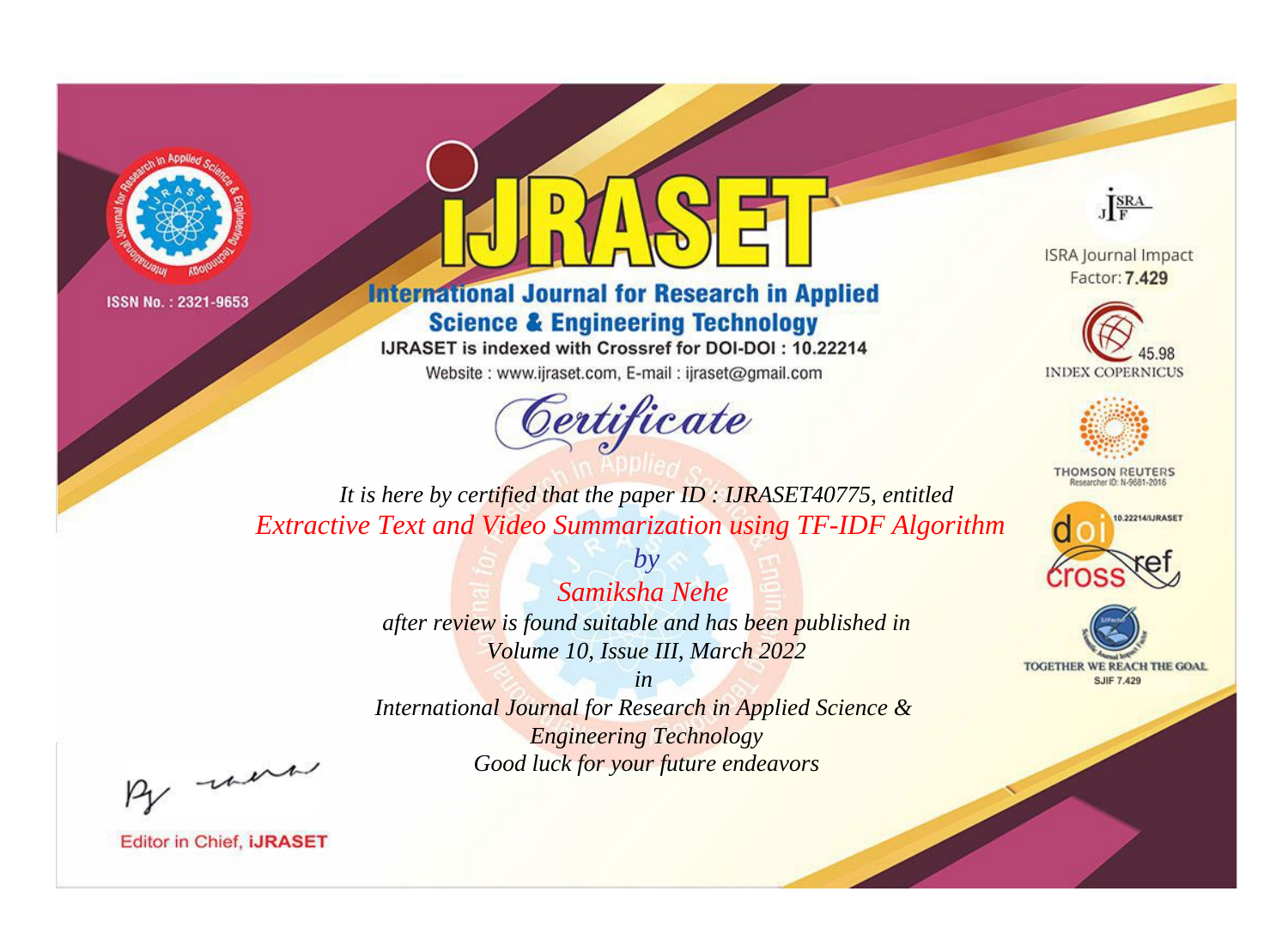



**International Journal for Research in Applied Science & Engineering Technology** 

IJRASET is indexed with Crossref for DOI-DOI: 10.22214

Website: www.ijraset.com, E-mail: ijraset@gmail.com



JERA

**ISRA Journal Impact** Factor: 7.429





**THOMSON REUTERS** 



TOGETHER WE REACH THE GOAL **SJIF 7.429** 

*It is here by certified that the paper ID : IJRASET40775, entitled Extractive Text and Video Summarization using TF-IDF Algorithm*

> *Samiksha Nehe after review is found suitable and has been published in Volume 10, Issue III, March 2022*

*by*

*in* 

*International Journal for Research in Applied Science & Engineering Technology Good luck for your future endeavors*

By morn